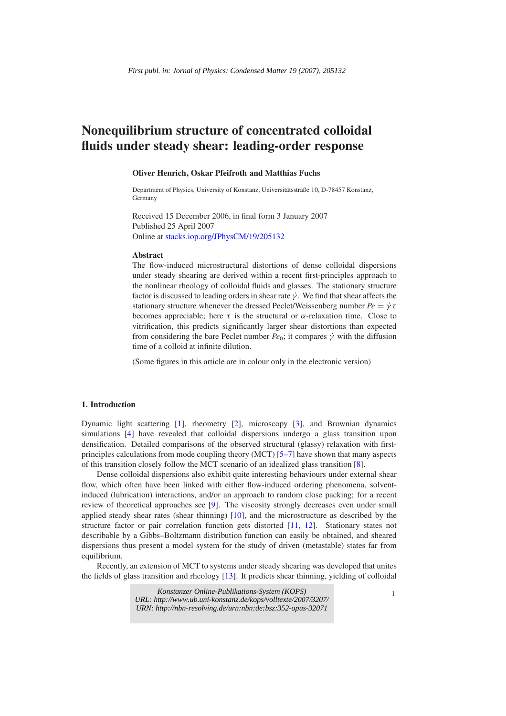# **Nonequilibrium structure of concentrated colloidal fluids under steady shear: leading-order response**

### **Oliver Henrich, Oskar Pfeifroth and Matthias Fuchs**

Department of Physics, University of Konstanz, Universitätsstraße 10, D-78457 Konstanz, Germany

Received 15 December 2006, in final form 3 January 2007 Published 25 April 2007 Online at [stacks.iop.org/JPhysCM/19/205132](http://stacks.iop.org/JPhysCM/19/205132)

#### **Abstract**

The flow-induced microstructural distortions of dense colloidal dispersions under steady shearing are derived within a recent first-principles approach to the nonlinear rheology of colloidal fluids and glasses. The stationary structure factor is discussed to leading orders in shear rate  $\dot{\gamma}$ . We find that shear affects the stationary structure whenever the dressed Peclet/Weissenberg number  $Pe = \dot{\gamma} \tau$ becomes appreciable; here  $\tau$  is the structural or  $\alpha$ -relaxation time. Close to vitrification, this predicts significantly larger shear distortions than expected from considering the bare Peclet number  $Pe_0$ ; it compares  $\dot{\gamma}$  with the diffusion time of a colloid at infinite dilution.

(Some figures in this article are in colour only in the electronic version)

## **1. Introduction**

Dynamic light scattering [\[1\]](#page-5-0), rheometry [\[2\]](#page-5-1), microscopy [\[3\]](#page-5-2), and Brownian dynamics simulations [\[4\]](#page-5-3) have revealed that colloidal dispersions undergo a glass transition upon densification. Detailed comparisons of the observed structural (glassy) relaxation with firstprinciples calculations from mode coupling theory (MCT) [\[5–7\]](#page-5-4) have shown that many aspects of this transition closely follow the MCT scenario of an idealized glass transition [\[8\]](#page-5-5).

Dense colloidal dispersions also exhibit quite interesting behaviours under external shear flow, which often have been linked with either flow-induced ordering phenomena, solventinduced (lubrication) interactions, and/or an approach to random close packing; for a recent review of theoretical approaches see [\[9\]](#page-5-6). The viscosity strongly decreases even under small applied steady shear rates (shear thinning) [\[10\]](#page-5-6), and the microstructure as described by the structure factor or pair correlation function gets distorted [\[11,](#page-5-7) [12\]](#page-5-8). Stationary states not describable by a Gibbs–Boltzmann distribution function can easily be obtained, and sheared dispersions thus present a model system for the study of driven (metastable) states far from equilibrium.

Recently, an extension of MCT to systems under steady shearing was developed that unites the fields of glass transition and rheology [\[13\]](#page-5-9). It predicts shear thinning, yielding of colloidal

**EXECUTE:** *Konstanzer Online-Publikations-System (KOPS)* <sup>1</sup> *URL:<http://www.ub.uni-konstanz.de/kops/volltexte/2007/3207/> URN:<http://nbn-resolving.de/urn:nbn:de:bsz:352-opus-32071>*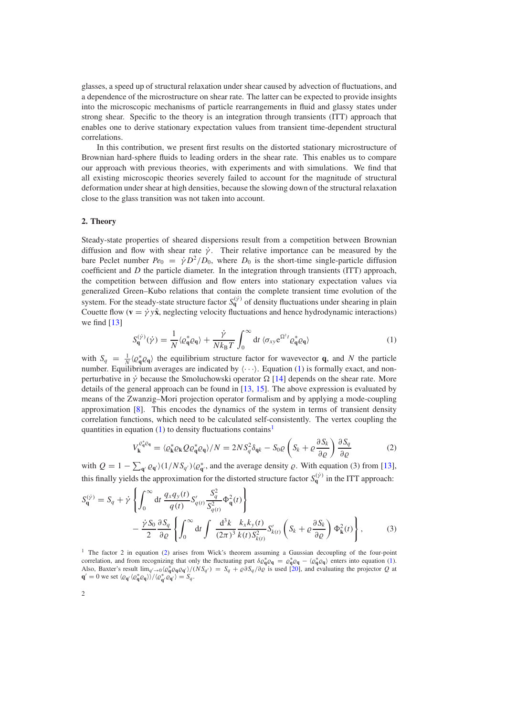glasses, a speed up of structural relaxation under shear caused by advection of fluctuations, and a dependence of the microstructure on shear rate. The latter can be expected to provide insights into the microscopic mechanisms of particle rearrangements in fluid and glassy states under strong shear. Specific to the theory is an integration through transients (ITT) approach that enables one to derive stationary expectation values from transient time-dependent structural correlations.

In this contribution, we present first results on the distorted stationary microstructure of Brownian hard-sphere fluids to leading orders in the shear rate. This enables us to compare our approach with previous theories, with experiments and with simulations. We find that all existing microscopic theories severely failed to account for the magnitude of structural deformation under shear at high densities, because the slowing down of the structural relaxation close to the glass transition was not taken into account.

#### **2. Theory**

<span id="page-1-0"></span>Steady-state properties of sheared dispersions result from a competition between Brownian diffusion and flow with shear rate  $\dot{\gamma}$ . Their relative importance can be measured by the bare Peclet number  $Pe_0 = \dot{\gamma} D^2/D_0$ , where  $D_0$  is the short-time single-particle diffusion coefficient and *D* the particle diameter. In the integration through transients (ITT) approach, the competition between diffusion and flow enters into stationary expectation values via generalized Green–Kubo relations that contain the complete transient time evolution of the system. For the steady-state structure factor  $S_{q}^{(\gamma)}$  of density fluctuations under shearing in plain Couette flow  $(\mathbf{v} = \dot{\gamma} y\hat{\mathbf{x}})$ , neglecting velocity fluctuations and hence hydrodynamic interactions) we find  $[13]$ 

$$
S_{\mathbf{q}}^{(\dot{\gamma})}(\dot{\gamma}) = \frac{1}{N} \langle \varrho_{\mathbf{q}}^* \varrho_{\mathbf{q}} \rangle + \frac{\dot{\gamma}}{N k_{\mathrm{B}} T} \int_0^\infty \mathrm{d}t \, \langle \sigma_{xy} e^{\Omega^{\dagger}t} \varrho_{\mathbf{q}}^* \varrho_{\mathbf{q}} \rangle \tag{1}
$$

<span id="page-1-2"></span>with  $S_q = \frac{1}{N} \langle \varrho_q^* \varrho_q \rangle$  the equilibrium structure factor for wavevector **q**, and *N* the particle number. Equilibrium averages are indicated by  $\langle \cdots \rangle$ . Equation [\(1\)](#page-1-0) is formally exact, and nonperturbative in  $\dot{\gamma}$  because the Smoluchowski operator  $\Omega$  [\[14\]](#page-5-10) depends on the shear rate. More details of the general approach can be found in [\[13,](#page-5-9) [15\]](#page-5-11). The above expression is evaluated by means of the Zwanzig–Mori projection operator formalism and by applying a mode-coupling approximation [\[8\]](#page-5-5). This encodes the dynamics of the system in terms of transient density correlation functions, which need to be calculated self-consistently. The vertex coupling the quantities in equation  $(1)$  to density fluctuations contains<sup>[1](#page-1-1)</sup>

$$
V_{\mathbf{k}}^{\rho_{\mathbf{q}}^{*}\rho_{\mathbf{q}}} = \langle \varrho_{\mathbf{k}}^{*}\varrho_{\mathbf{k}}\mathcal{Q}\varrho_{\mathbf{q}}^{*}\varrho_{\mathbf{q}} \rangle/N = 2NS_{q}^{2}\delta_{\mathbf{q}k} - S_{0}\varrho \left(S_{k} + \varrho \frac{\partial S_{k}}{\partial \varrho}\right) \frac{\partial S_{q}}{\partial \varrho}
$$
(2)

<span id="page-1-3"></span>with  $Q = 1 - \sum_{\mathbf{q}'} \varrho_{\mathbf{q}'} (1/N S_{\mathbf{q}'})(\varrho_{\mathbf{q}'}^*$ , and the average density  $\varrho$ . With equation (3) from [\[13\]](#page-5-9), this finally yields the approximation for the distorted structure factor  $S_q^{(\gamma)}$  in the ITT approach:

<span id="page-1-1"></span>
$$
S_{\mathbf{q}}^{(\dot{\gamma})} = S_q + \dot{\gamma} \left\{ \int_0^\infty dt \, \frac{q_x q_y(t)}{q(t)} S_{q(t)}' \frac{S_q^2}{S_{q(t)}^2} \Phi_{\mathbf{q}}^2(t) \right\} - \frac{\dot{\gamma} S_0}{2} \frac{\partial S_q}{\partial \varrho} \left\{ \int_0^\infty dt \int \frac{d^3 k}{(2\pi)^3} \frac{k_x k_y(t)}{k(t) S_{k(t)}^2} S_{k(t)}' \left( S_k + \varrho \frac{\partial S_k}{\partial \varrho} \right) \Phi_{\mathbf{k}}^2(t) \right\},
$$
(3)

<sup>1</sup> The factor 2 in equation [\(2\)](#page-1-2) arises from Wick's theorem assuming a Gaussian decoupling of the four-point correlation, and from recognizing that only the fluctuating part  $\delta \varrho_{\bf q}^* \varrho_{\bf q} = \varrho_{\bf q}^* \varrho_{\bf q} - \langle \varrho_{\bf q}^* \varrho_{\bf q} \rangle$  enters into equation [\(1\)](#page-1-0). Also, Baxter's result  $\lim_{q'\to 0} \langle \varrho_q^* \varrho_q \varrho_{q'} \rangle / (N S_{q'}) = S_q + \varrho \partial S_q / \partial \varrho$  is used [\[20\]](#page-5-12), and evaluating the projector *Q* at  $\mathbf{q}' = 0$  we set  $\langle \varrho_{\mathbf{q}'} \langle \varrho_{\mathbf{q}}^* \varrho_{\mathbf{q}} \rangle \rangle / \langle \varrho_{\mathbf{q}'}^* \varrho_{\mathbf{q}'} \rangle = S_q$ .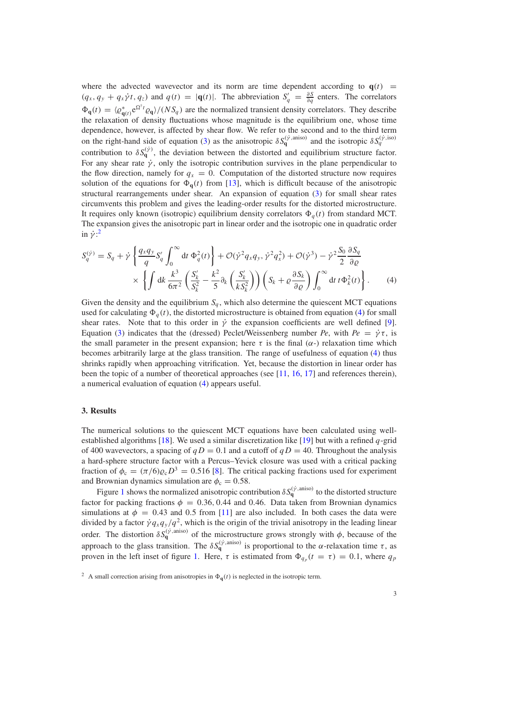where the advected wavevector and its norm are time dependent according to  $q(t)$  =  $(q_x, q_y + q_x \dot{\gamma}t, q_z)$  and  $q(t) = |q(t)|$ . The abbreviation  $S'_q = \frac{\partial S}{\partial q}$  enters. The correlators  $\Phi_{\bf q}(t) = \langle \varrho_{\bf q}(t) \, e^{\Omega^{\dagger} t} \varrho_{\bf q} \rangle / (N S_q)$  are the normalized transient density correlators. They describe the relaxation of density fluctuations whose magnitude is the equilibrium one, whose time dependence, however, is affected by shear flow. We refer to the second and to the third term on the right-hand side of equation [\(3\)](#page-1-3) as the anisotropic  $\delta S_{\bf q}^{(\dot{\gamma},\text{aniso})}$  and the isotropic  $\delta S_q^{(\dot{\gamma},\text{iso})}$ contribution to  $\delta S_{\bf q}^{(\dot{\gamma})}$ , the deviation between the distorted and equilibrium structure factor. For any shear rate  $\dot{\gamma}$ , only the isotropic contribution survives in the plane perpendicular to the flow direction, namely for  $q_x = 0$ . Computation of the distorted structure now requires solution of the equations for  $\Phi_{q}(t)$  from [\[13\]](#page-5-9), which is difficult because of the anisotropic structural rearrangements under shear. An expansion of equation [\(3\)](#page-1-3) for small shear rates circumvents this problem and gives the leading-order results for the distorted microstructure. It requires only known (isotropic) equilibrium density correlators  $\Phi_q(t)$  from standard MCT. The expansion gives the anisotropic part in linear order and the isotropic one in quadratic order in  $\dot{\gamma}$ :<sup>[2](#page-2-0)</sup>

<span id="page-2-1"></span>
$$
S_q^{(\dot{\gamma})} = S_q + \dot{\gamma} \left\{ \frac{q_x q_y}{q} S_q' \int_0^\infty dt \, \Phi_q^2(t) \right\} + \mathcal{O}(\dot{\gamma}^2 q_x q_y, \dot{\gamma}^2 q_x^2) + \mathcal{O}(\dot{\gamma}^3) - \dot{\gamma}^2 \frac{S_0}{2} \frac{\partial S_q}{\partial \varrho} \times \left\{ \int dk \, \frac{k^3}{6\pi^2} \left( \frac{S_k'}{S_k^2} - \frac{k^2}{5} \partial_k \left( \frac{S_k'}{k S_k^2} \right) \right) \left( S_k + \varrho \frac{\partial S_k}{\partial \varrho} \right) \int_0^\infty dt \, t \Phi_k^2(t) \right\}.
$$
 (4)

Given the density and the equilibrium  $S_q$ , which also determine the quiescent MCT equations used for calculating  $\Phi_q(t)$ , the distorted microstructure is obtained from equation [\(4\)](#page-2-1) for small shear rates. Note that to this order in  $\dot{\gamma}$  the expansion coefficients are well defined [\[9\]](#page-5-6). Equation [\(3\)](#page-1-3) indicates that the (dressed) Peclet/Weissenberg number *Pe*, with  $Pe = \dot{\gamma}\tau$ , is the small parameter in the present expansion; here  $\tau$  is the final  $(\alpha)$  relaxation time which becomes arbitrarily large at the glass transition. The range of usefulness of equation [\(4\)](#page-2-1) thus shrinks rapidly when approaching vitrification. Yet, because the distortion in linear order has been the topic of a number of theoretical approaches (see [\[11,](#page-5-7) [16,](#page-5-13) [17\]](#page-5-14) and references therein), a numerical evaluation of equation [\(4\)](#page-2-1) appears useful.

### **3. Results**

The numerical solutions to the quiescent MCT equations have been calculated using wellestablished algorithms [\[18\]](#page-5-15). We used a similar discretization like [\[19\]](#page-5-16) but with a refined *q*-grid of 400 wavevectors, a spacing of  $qD = 0.1$  and a cutoff of  $qD = 40$ . Throughout the analysis a hard-sphere structure factor with a Percus–Yevick closure was used with a critical packing fraction of  $\phi_c = (\pi/6)\rho_c D^3 = 0.516$  [\[8\]](#page-5-5). The critical packing fractions used for experiment and Brownian dynamics simulation are  $\phi_c = 0.58$ .

<span id="page-2-0"></span>Figure [1](#page-3-0) shows the normalized anisotropic contribution  $\delta S_{\bf q}^{(\dot{\gamma},\text{aniso})}$  to the distorted structure factor for packing fractions  $\phi = 0.36, 0.44$  and 0.46. Data taken from Brownian dynamics simulations at  $\phi = 0.43$  and 0.5 from [\[11\]](#page-5-7) are also included. In both cases the data were divided by a factor  $\dot{\gamma}q_xq_y/q^2$ , which is the origin of the trivial anisotropy in the leading linear order. The distortion  $\delta S_{\bf q}^{(\dot{\gamma},\text{aniso})}$  of the microstructure grows strongly with  $\phi$ , because of the approach to the glass transition. The  $\delta S_q^{(\dot{\gamma}, \text{aniso})}$  is proportional to the  $\alpha$ -relaxation time  $\tau$ , as proven in the left inset of figure [1.](#page-3-0) Here,  $\tau$  is estimated from  $\Phi_{q_p}(t = \tau) = 0.1$ , where  $q_p$ 

<sup>&</sup>lt;sup>2</sup> A small correction arising from anisotropies in  $\Phi_{\bf q}(t)$  is neglected in the isotropic term.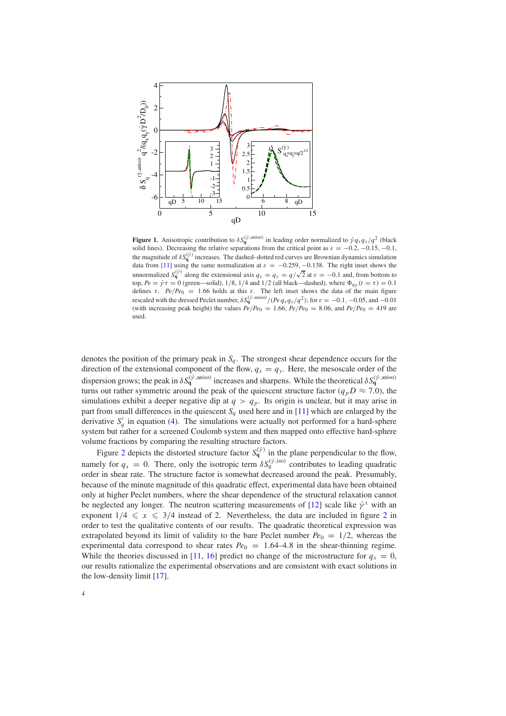<span id="page-3-0"></span>

**Figure 1.** Anisotropic contribution to  $\delta S_{\bf q}^{(\dot{\gamma},\text{aniso})}$  in leading order normalized to  $\dot{\gamma}q_xq_y/q^2$  (black solid lines). Decreasing the relative separations from the critical point as  $\varepsilon = -0.2, -0.15, -0.1$ , the magnitude of  $\delta S_{\bf q}^{(\dot{\gamma})}$  increases. The dashed–dotted red curves are Brownian dynamics simulation data from [\[11\]](#page-5-7) using the same normalization at  $\varepsilon = -0.259, -0.138$ . The right inset shows the unnormalized  $S_q^{(i)}$  along the extensional axis  $q_x = q_y = q/\sqrt{2}$  at  $\varepsilon = -0.1$  and, from bottom to top,  $Pe = \dot{\gamma}\tau = 0$  (green—solid),  $1/8$ ,  $1/4$  and  $1/2$  (all black—dashed), where  $\Phi_{q_p}(t=\tau) = 0.1$ defines  $\tau$ . *Pe*/*Pe*<sub>0</sub> = 1.66 holds at this  $\varepsilon$ . The left inset shows the data of the main figure rescaled with the dressed Peclet number,  $\delta S_{\bf q}^{(\dot{\gamma},\text{aniso})}/(Pe q_x q_y/q^2)$ ; for  $\varepsilon = -0.1, -0.05$ , and  $-0.01$ (with increasing peak height) the values  $\frac{Pe}{Pe_0} = 1.66$ ,  $\frac{Pe}{Pe_0} = 8.06$ , and  $\frac{Pe}{Pe_0} = 419$  are used.

denotes the position of the primary peak in  $S_q$ . The strongest shear dependence occurs for the direction of the extensional component of the flow,  $q_x = q_y$ . Here, the mesoscale order of the dispersion grows; the peak in  $\delta S_q^{(\dot{\gamma}, \text{aniso})}$  increases and sharpens. While the theoretical  $\delta S_q^{(\dot{\gamma}, \text{aniso})}$ turns out rather symmetric around the peak of the quiescent structure factor ( $q_pD \approx 7.0$ ), the simulations exhibit a deeper negative dip at  $q > q_p$ . Its origin is unclear, but it may arise in part from small differences in the quiescent  $S_q$  used here and in [\[11\]](#page-5-7) which are enlarged by the derivative  $S'_q$  in equation [\(4\)](#page-2-1). The simulations were actually not performed for a hard-sphere system but rather for a screened Coulomb system and then mapped onto effective hard-sphere volume fractions by comparing the resulting structure factors.

Figure [2](#page-4-0) depicts the distorted structure factor  $S_q^{(\dot{\gamma})}$  in the plane perpendicular to the flow, namely for  $q_x = 0$ . There, only the isotropic term  $\delta S_q^{(\dot{\gamma},\text{iso})}$  contributes to leading quadratic order in shear rate. The structure factor is somewhat decreased around the peak. Presumably, because of the minute magnitude of this quadratic effect, experimental data have been obtained only at higher Peclet numbers, where the shear dependence of the structural relaxation cannot be neglected any longer. The neutron scattering measurements of [\[12\]](#page-5-8) scale like  $\dot{\gamma}^x$  with an exponent  $1/4 \le x \le 3/4$  instead of [2](#page-4-0). Nevertheless, the data are included in figure 2 in order to test the qualitative contents of our results. The quadratic theoretical expression was extrapolated beyond its limit of validity to the bare Peclet number  $Pe_0 = 1/2$ , whereas the experimental data correspond to shear rates  $Pe_0 = 1.64-4.8$  in the shear-thinning regime. While the theories discussed in [\[11,](#page-5-7) [16\]](#page-5-13) predict no change of the microstructure for  $q_x = 0$ , our results rationalize the experimental observations and are consistent with exact solutions in the low-density limit [\[17\]](#page-5-14).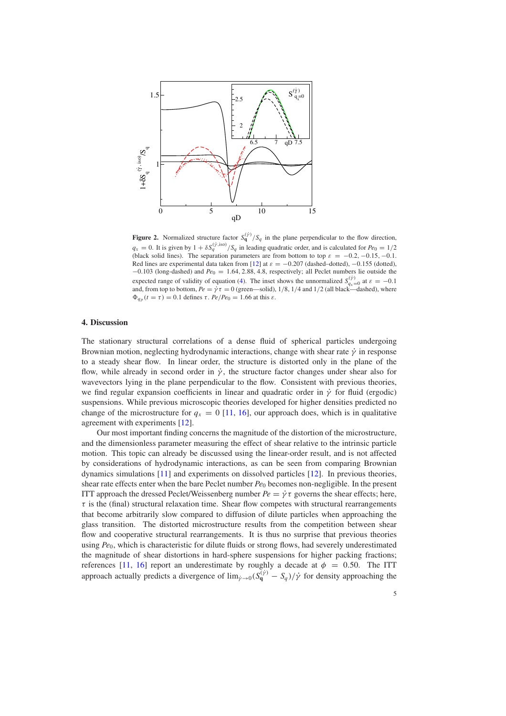<span id="page-4-0"></span>

**Figure 2.** Normalized structure factor  $S_q^{(\gamma)} / S_q$  in the plane perpendicular to the flow direction,  $q_x = 0$ . It is given by  $1 + \delta S_q^{(\gamma,iso)}/S_q$  in leading quadratic order, and is calculated for  $Pe_0 = 1/2$ (black solid lines). The separation parameters are from bottom to top  $\varepsilon = -0.2, -0.15, -0.1$ . Red lines are experimental data taken from [\[12\]](#page-5-8) at  $\varepsilon = -0.207$  (dashed–dotted), -0.155 (dotted), −0.103 (long-dashed) and *Pe*<sup>0</sup> = 1.64, 2.88, 4.8, respectively; all Peclet numbers lie outside the expected range of validity of equation [\(4\)](#page-2-1). The inset shows the unnormalized  $S_{qx=0}^{(y)}$  at  $\varepsilon = -0.1$  and, from top to bottom,  $Pe = \dot{\gamma} \tau = 0$  (green—solid), 1/8, 1/4 and 1/2 (all black—dashed), where  $\Phi_{q_p}(t=\tau) = 0.1$  defines  $\tau$ .  $Pe/Pe_0 = 1.66$  at this  $\varepsilon$ .

## **4. Discussion**

The stationary structural correlations of a dense fluid of spherical particles undergoing Brownian motion, neglecting hydrodynamic interactions, change with shear rate  $\dot{\gamma}$  in response to a steady shear flow. In linear order, the structure is distorted only in the plane of the flow, while already in second order in  $\dot{\gamma}$ , the structure factor changes under shear also for wavevectors lying in the plane perpendicular to the flow. Consistent with previous theories, we find regular expansion coefficients in linear and quadratic order in  $\dot{\gamma}$  for fluid (ergodic) suspensions. While previous microscopic theories developed for higher densities predicted no change of the microstructure for  $q_x = 0$  [\[11,](#page-5-7) [16\]](#page-5-13), our approach does, which is in qualitative agreement with experiments [\[12\]](#page-5-8).

Our most important finding concerns the magnitude of the distortion of the microstructure, and the dimensionless parameter measuring the effect of shear relative to the intrinsic particle motion. This topic can already be discussed using the linear-order result, and is not affected by considerations of hydrodynamic interactions, as can be seen from comparing Brownian dynamics simulations [\[11\]](#page-5-7) and experiments on dissolved particles [\[12\]](#page-5-8). In previous theories, shear rate effects enter when the bare Peclet number  $Pe_0$  becomes non-negligible. In the present ITT approach the dressed Peclet/Weissenberg number  $Pe = \dot{\gamma} \tau$  governs the shear effects; here,  $\tau$  is the (final) structural relaxation time. Shear flow competes with structural rearrangements that become arbitrarily slow compared to diffusion of dilute particles when approaching the glass transition. The distorted microstructure results from the competition between shear flow and cooperative structural rearrangements. It is thus no surprise that previous theories using *Pe*0, which is characteristic for dilute fluids or strong flows, had severely underestimated the magnitude of shear distortions in hard-sphere suspensions for higher packing fractions; references [\[11,](#page-5-7) [16\]](#page-5-13) report an underestimate by roughly a decade at  $\phi = 0.50$ . The ITT approach actually predicts a divergence of  $\lim_{\dot{\gamma}\to 0} (S_q^{(\dot{\gamma})} - S_q)/\dot{\gamma}$  for density approaching the